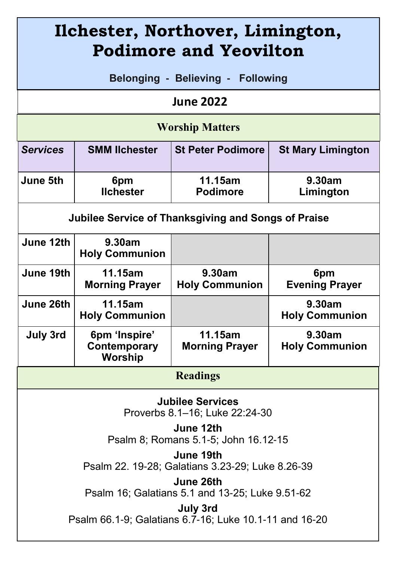| Ilchester, Northover, Limington,<br><b>Podimore and Yeovilton</b>  |                                          |                                  |                                 |
|--------------------------------------------------------------------|------------------------------------------|----------------------------------|---------------------------------|
| <b>Belonging - Believing - Following</b>                           |                                          |                                  |                                 |
| <b>June 2022</b>                                                   |                                          |                                  |                                 |
| <b>Worship Matters</b>                                             |                                          |                                  |                                 |
| <b>Services</b>                                                    | <b>SMM lichester</b>                     | <b>St Peter Podimore</b>         | <b>St Mary Limington</b>        |
| June 5th                                                           | 6pm<br><b>Ilchester</b>                  | 11.15am<br><b>Podimore</b>       | 9.30am<br>Limington             |
| Jubilee Service of Thanksgiving and Songs of Praise                |                                          |                                  |                                 |
| June 12th                                                          | 9.30am<br><b>Holy Communion</b>          |                                  |                                 |
| June 19th                                                          | 11.15am<br><b>Morning Prayer</b>         | 9.30am<br><b>Holy Communion</b>  | 6pm<br><b>Evening Prayer</b>    |
| June 26th                                                          | 11.15am<br><b>Holy Communion</b>         |                                  | 9.30am<br><b>Holy Communion</b> |
| July 3rd                                                           | 6pm 'Inspire'<br>Contemporary<br>Worship | 11.15am<br><b>Morning Prayer</b> | 9.30am<br><b>Holy Communion</b> |
| <b>Readings</b>                                                    |                                          |                                  |                                 |
| <b>Jubilee Services</b><br>Proverbs 8.1-16; Luke 22:24-30          |                                          |                                  |                                 |
| June 12th<br>Psalm 8; Romans 5.1-5; John 16.12-15                  |                                          |                                  |                                 |
| June 19th<br>Psalm 22. 19-28; Galatians 3.23-29; Luke 8.26-39      |                                          |                                  |                                 |
| June 26th<br>Psalm 16; Galatians 5.1 and 13-25; Luke 9.51-62       |                                          |                                  |                                 |
| July 3rd<br>Psalm 66.1-9; Galatians 6.7-16; Luke 10.1-11 and 16-20 |                                          |                                  |                                 |